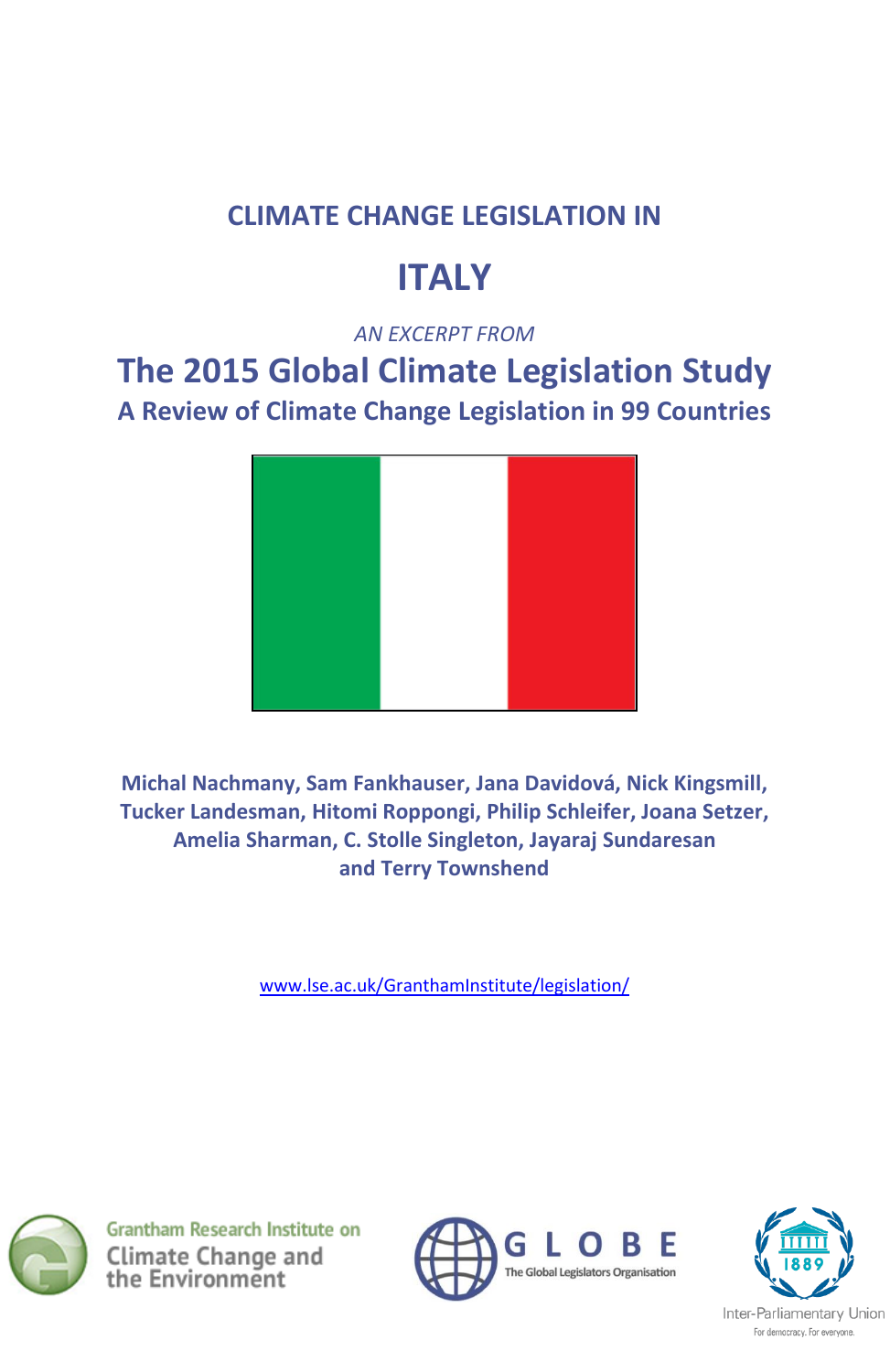## **CLIMATE CHANGE LEGISLATION IN**

# **ITALY**

### *AN EXCERPT FROM*

## **The 2015 Global Climate Legislation Study A Review of Climate Change Legislation in 99 Countries**



**Michal Nachmany, Sam Fankhauser, Jana Davidová, Nick Kingsmill, Tucker Landesman, Hitomi Roppongi, Philip Schleifer, Joana Setzer, Amelia Sharman, C. Stolle Singleton, Jayaraj Sundaresan and Terry Townshend**

[www.lse.ac.uk/GranthamInstitute/legislation/](http://www.lse.ac.uk/GranthamInstitute/legislation/)



**Grantham Research Institute on Climate Change and** the Environment



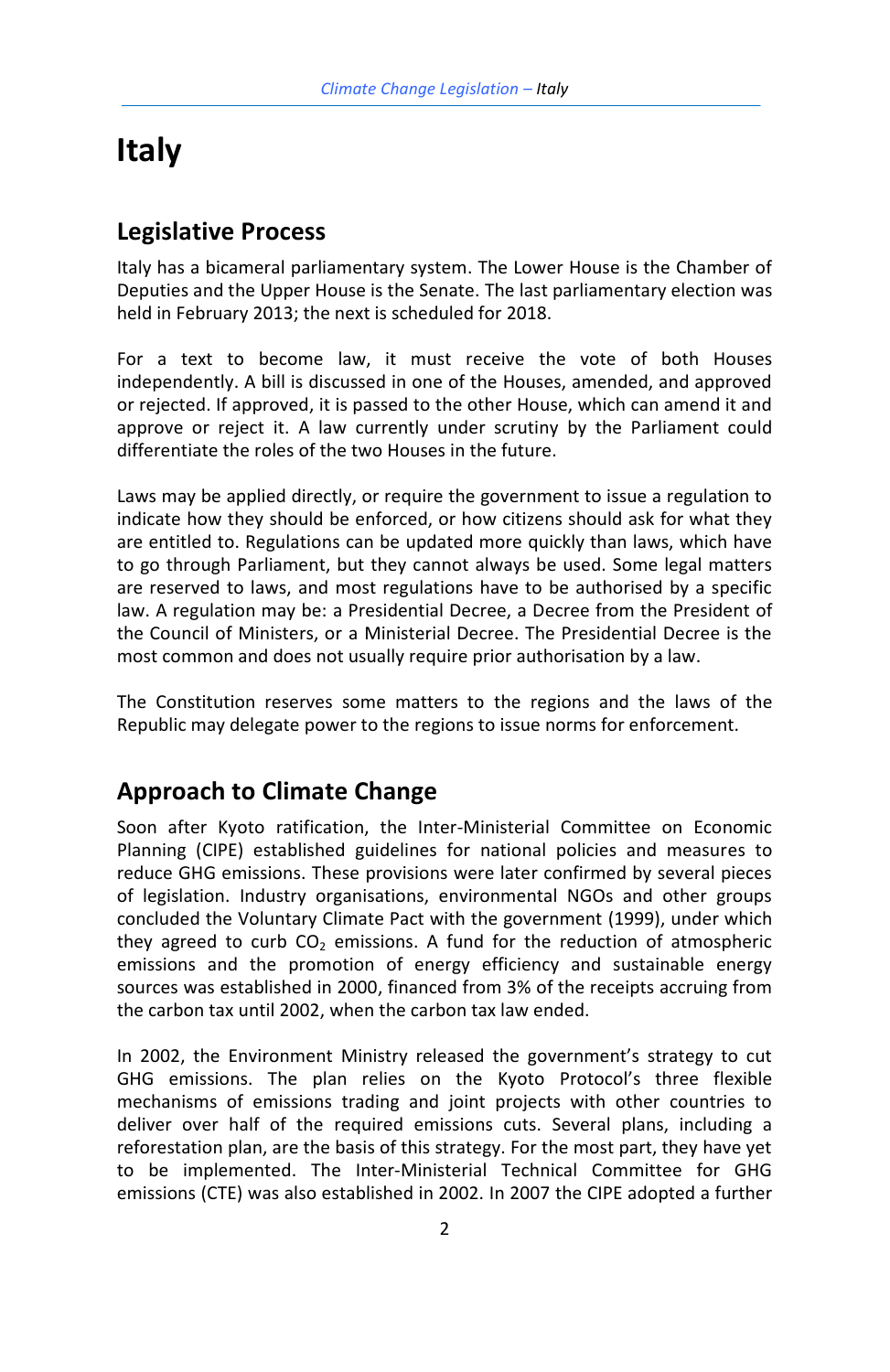## **Italy**

### **Legislative Process**

Italy has a bicameral parliamentary system. The Lower House is the Chamber of Deputies and the Upper House is the Senate. The last parliamentary election was held in February 2013; the next is scheduled for 2018.

For a text to become law, it must receive the vote of both Houses independently. A bill is discussed in one of the Houses, amended, and approved or rejected. If approved, it is passed to the other House, which can amend it and approve or reject it. A law currently under scrutiny by the Parliament could differentiate the roles of the two Houses in the future.

Laws may be applied directly, or require the government to issue a regulation to indicate how they should be enforced, or how citizens should ask for what they are entitled to. Regulations can be updated more quickly than laws, which have to go through Parliament, but they cannot always be used. Some legal matters are reserved to laws, and most regulations have to be authorised by a specific law. A regulation may be: a Presidential Decree, a Decree from the President of the Council of Ministers, or a Ministerial Decree. The Presidential Decree is the most common and does not usually require prior authorisation by a law.

The Constitution reserves some matters to the regions and the laws of the Republic may delegate power to the regions to issue norms for enforcement.

### **Approach to Climate Change**

Soon after Kyoto ratification, the Inter-Ministerial Committee on Economic Planning (CIPE) established guidelines for national policies and measures to reduce GHG emissions. These provisions were later confirmed by several pieces of legislation. Industry organisations, environmental NGOs and other groups concluded the Voluntary Climate Pact with the government (1999), under which they agreed to curb  $CO<sub>2</sub>$  emissions. A fund for the reduction of atmospheric emissions and the promotion of energy efficiency and sustainable energy sources was established in 2000, financed from 3% of the receipts accruing from the carbon tax until 2002, when the carbon tax law ended.

In 2002, the Environment Ministry released the government's strategy to cut GHG emissions. The plan relies on the Kyoto Protocol's three flexible mechanisms of emissions trading and joint projects with other countries to deliver over half of the required emissions cuts. Several plans, including a reforestation plan, are the basis of this strategy. For the most part, they have yet to be implemented. The Inter-Ministerial Technical Committee for GHG emissions (CTE) was also established in 2002. In 2007 the CIPE adopted a further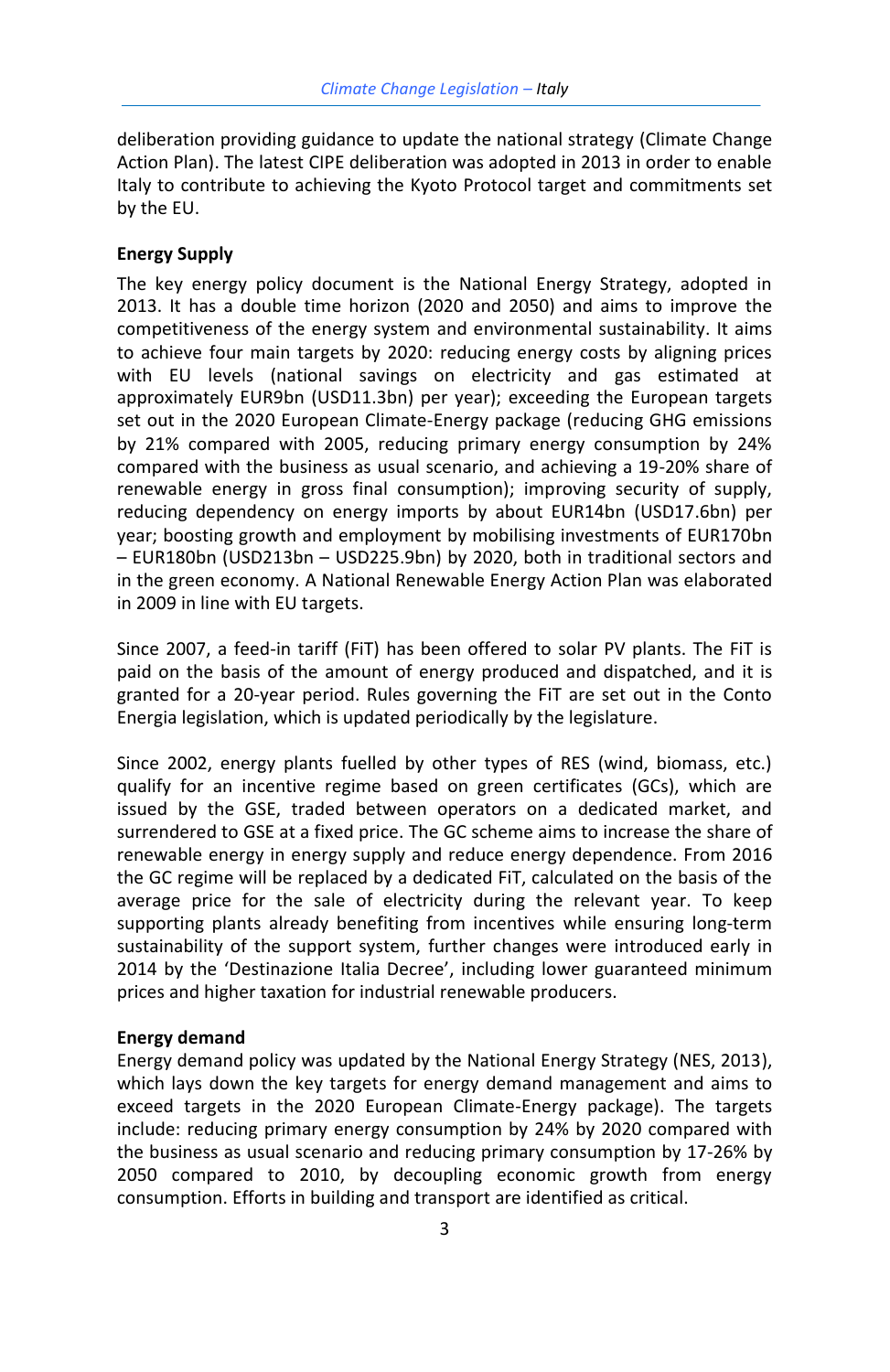deliberation providing guidance to update the national strategy (Climate Change Action Plan). The latest CIPE deliberation was adopted in 2013 in order to enable Italy to contribute to achieving the Kyoto Protocol target and commitments set by the EU.

#### **Energy Supply**

The key energy policy document is the National Energy Strategy, adopted in 2013. It has a double time horizon (2020 and 2050) and aims to improve the competitiveness of the energy system and environmental sustainability. It aims to achieve four main targets by 2020: reducing energy costs by aligning prices with EU levels (national savings on electricity and gas estimated at approximately EUR9bn (USD11.3bn) per year); exceeding the European targets set out in the 2020 European Climate-Energy package (reducing GHG emissions by 21% compared with 2005, reducing primary energy consumption by 24% compared with the business as usual scenario, and achieving a 19-20% share of renewable energy in gross final consumption); improving security of supply, reducing dependency on energy imports by about EUR14bn (USD17.6bn) per year; boosting growth and employment by mobilising investments of EUR170bn – EUR180bn (USD213bn – USD225.9bn) by 2020, both in traditional sectors and in the green economy. A National Renewable Energy Action Plan was elaborated in 2009 in line with EU targets.

Since 2007, a feed-in tariff (FiT) has been offered to solar PV plants. The FiT is paid on the basis of the amount of energy produced and dispatched, and it is granted for a 20-year period. Rules governing the FiT are set out in the Conto Energia legislation, which is updated periodically by the legislature.

Since 2002, energy plants fuelled by other types of RES (wind, biomass, etc.) qualify for an incentive regime based on green certificates (GCs), which are issued by the GSE, traded between operators on a dedicated market, and surrendered to GSE at a fixed price. The GC scheme aims to increase the share of renewable energy in energy supply and reduce energy dependence. From 2016 the GC regime will be replaced by a dedicated FiT, calculated on the basis of the average price for the sale of electricity during the relevant year. To keep supporting plants already benefiting from incentives while ensuring long-term sustainability of the support system, further changes were introduced early in 2014 by the 'Destinazione Italia Decree', including lower guaranteed minimum prices and higher taxation for industrial renewable producers.

#### **Energy demand**

Energy demand policy was updated by the National Energy Strategy (NES, 2013), which lays down the key targets for energy demand management and aims to exceed targets in the 2020 European Climate-Energy package). The targets include: reducing primary energy consumption by 24% by 2020 compared with the business as usual scenario and reducing primary consumption by 17-26% by 2050 compared to 2010, by decoupling economic growth from energy consumption. Efforts in building and transport are identified as critical.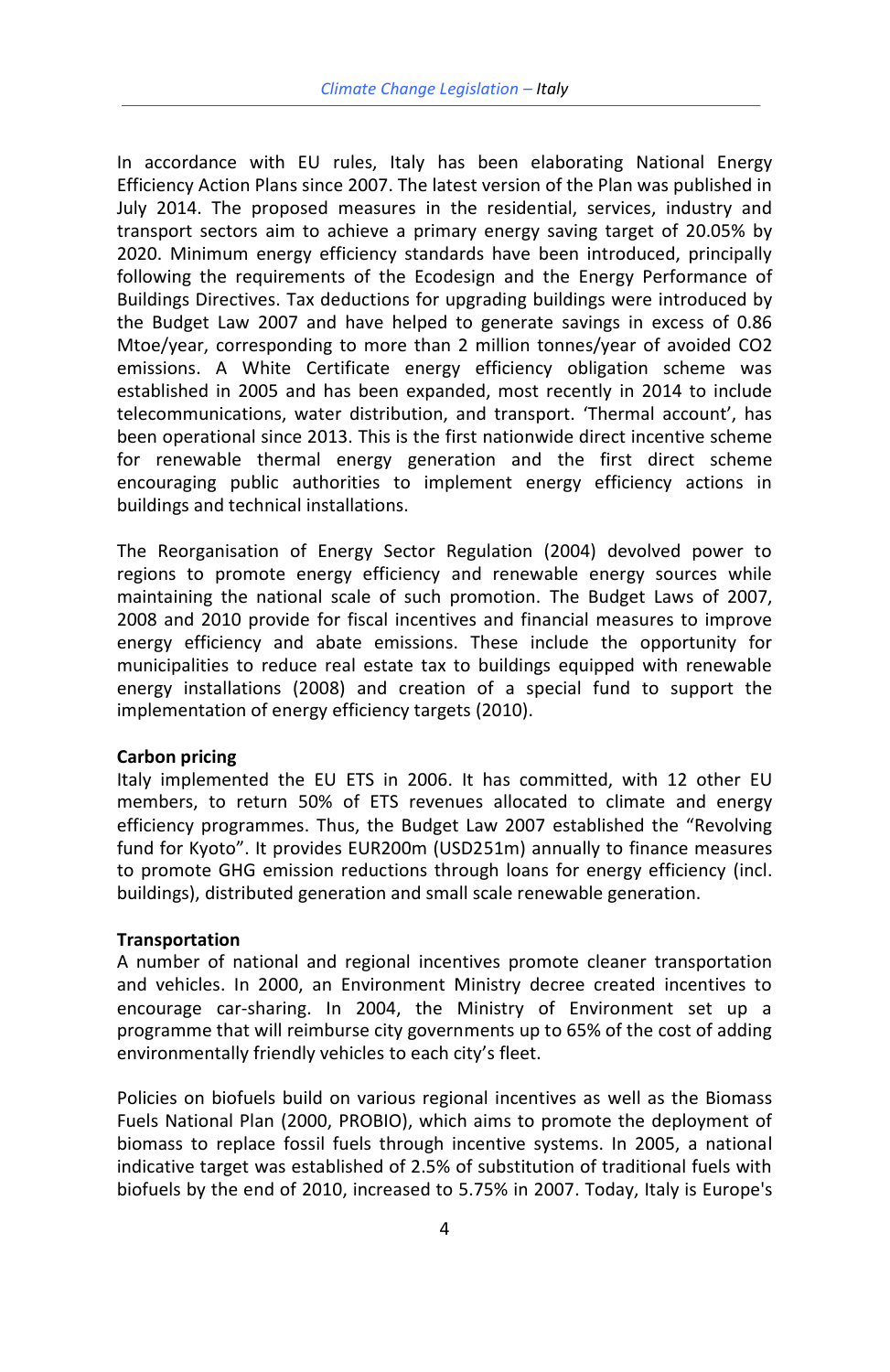In accordance with EU rules, Italy has been elaborating National Energy Efficiency Action Plans since 2007. The latest version of the Plan was published in July 2014. The proposed measures in the residential, services, industry and transport sectors aim to achieve a primary energy saving target of 20.05% by 2020. Minimum energy efficiency standards have been introduced, principally following the requirements of the Ecodesign and the Energy Performance of Buildings Directives. Tax deductions for upgrading buildings were introduced by the Budget Law 2007 and have helped to generate savings in excess of 0.86 Mtoe/year, corresponding to more than 2 million tonnes/year of avoided CO2 emissions. A White Certificate energy efficiency obligation scheme was established in 2005 and has been expanded, most recently in 2014 to include telecommunications, water distribution, and transport. 'Thermal account', has been operational since 2013. This is the first nationwide direct incentive scheme for renewable thermal energy generation and the first direct scheme encouraging public authorities to implement energy efficiency actions in buildings and technical installations.

The Reorganisation of Energy Sector Regulation (2004) devolved power to regions to promote energy efficiency and renewable energy sources while maintaining the national scale of such promotion. The Budget Laws of 2007, 2008 and 2010 provide for fiscal incentives and financial measures to improve energy efficiency and abate emissions. These include the opportunity for municipalities to reduce real estate tax to buildings equipped with renewable energy installations (2008) and creation of a special fund to support the implementation of energy efficiency targets (2010).

#### **Carbon pricing**

Italy implemented the EU ETS in 2006. It has committed, with 12 other EU members, to return 50% of ETS revenues allocated to climate and energy efficiency programmes. Thus, the Budget Law 2007 established the "Revolving fund for Kyoto". It provides EUR200m (USD251m) annually to finance measures to promote GHG emission reductions through loans for energy efficiency (incl. buildings), distributed generation and small scale renewable generation.

#### **Transportation**

A number of national and regional incentives promote cleaner transportation and vehicles. In 2000, an Environment Ministry decree created incentives to encourage car-sharing. In 2004, the Ministry of Environment set up a programme that will reimburse city governments up to 65% of the cost of adding environmentally friendly vehicles to each city's fleet.

Policies on biofuels build on various regional incentives as well as the Biomass Fuels National Plan (2000, PROBIO), which aims to promote the deployment of biomass to replace fossil fuels through incentive systems. In 2005, a national indicative target was established of 2.5% of substitution of traditional fuels with biofuels by the end of 2010, increased to 5.75% in 2007. Today, Italy is Europe's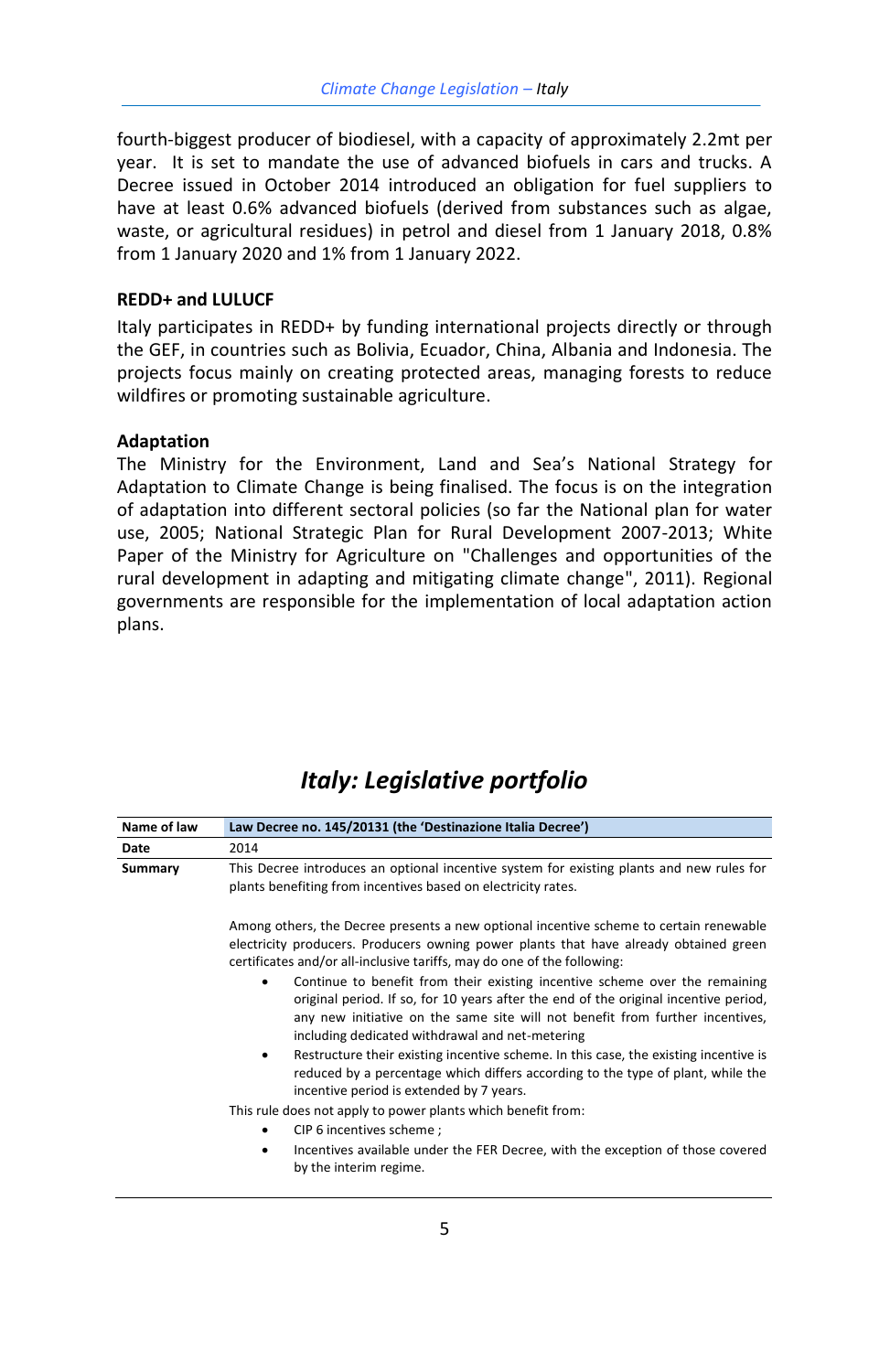fourth-biggest producer of biodiesel, with a capacity of approximately 2.2mt per year. It is set to mandate the use of advanced biofuels in cars and trucks. A Decree issued in October 2014 introduced an obligation for fuel suppliers to have at least 0.6% advanced biofuels (derived from substances such as algae, waste, or agricultural residues) in petrol and diesel from 1 January 2018, 0.8% from 1 January 2020 and 1% from 1 January 2022.

#### **REDD+ and LULUCF**

Italy participates in REDD+ by funding international projects directly or through the GEF, in countries such as Bolivia, Ecuador, China, Albania and Indonesia. The projects focus mainly on creating protected areas, managing forests to reduce wildfires or promoting sustainable agriculture.

#### **Adaptation**

The Ministry for the Environment, Land and Sea's National Strategy for Adaptation to Climate Change is being finalised. The focus is on the integration of adaptation into different sectoral policies (so far the National plan for water use, 2005; National Strategic Plan for Rural Development 2007-2013; White Paper of the Ministry for Agriculture on "Challenges and opportunities of the rural development in adapting and mitigating climate change", 2011). Regional governments are responsible for the implementation of local adaptation action plans.

| Name of law | Law Decree no. 145/20131 (the 'Destinazione Italia Decree')                                                                                                                                                                                                                                             |
|-------------|---------------------------------------------------------------------------------------------------------------------------------------------------------------------------------------------------------------------------------------------------------------------------------------------------------|
| Date        | 2014                                                                                                                                                                                                                                                                                                    |
| Summary     | This Decree introduces an optional incentive system for existing plants and new rules for<br>plants benefiting from incentives based on electricity rates.                                                                                                                                              |
|             | Among others, the Decree presents a new optional incentive scheme to certain renewable<br>electricity producers. Producers owning power plants that have already obtained green<br>certificates and/or all-inclusive tariffs, may do one of the following:                                              |
|             | Continue to benefit from their existing incentive scheme over the remaining<br>original period. If so, for 10 years after the end of the original incentive period,<br>any new initiative on the same site will not benefit from further incentives,<br>including dedicated withdrawal and net-metering |
|             | Restructure their existing incentive scheme. In this case, the existing incentive is<br>reduced by a percentage which differs according to the type of plant, while the<br>incentive period is extended by 7 years.                                                                                     |
|             | This rule does not apply to power plants which benefit from:                                                                                                                                                                                                                                            |
|             | CIP 6 incentives scheme ;                                                                                                                                                                                                                                                                               |
|             | Incentives available under the FER Decree, with the exception of those covered<br>by the interim regime.                                                                                                                                                                                                |

### *Italy: Legislative portfolio*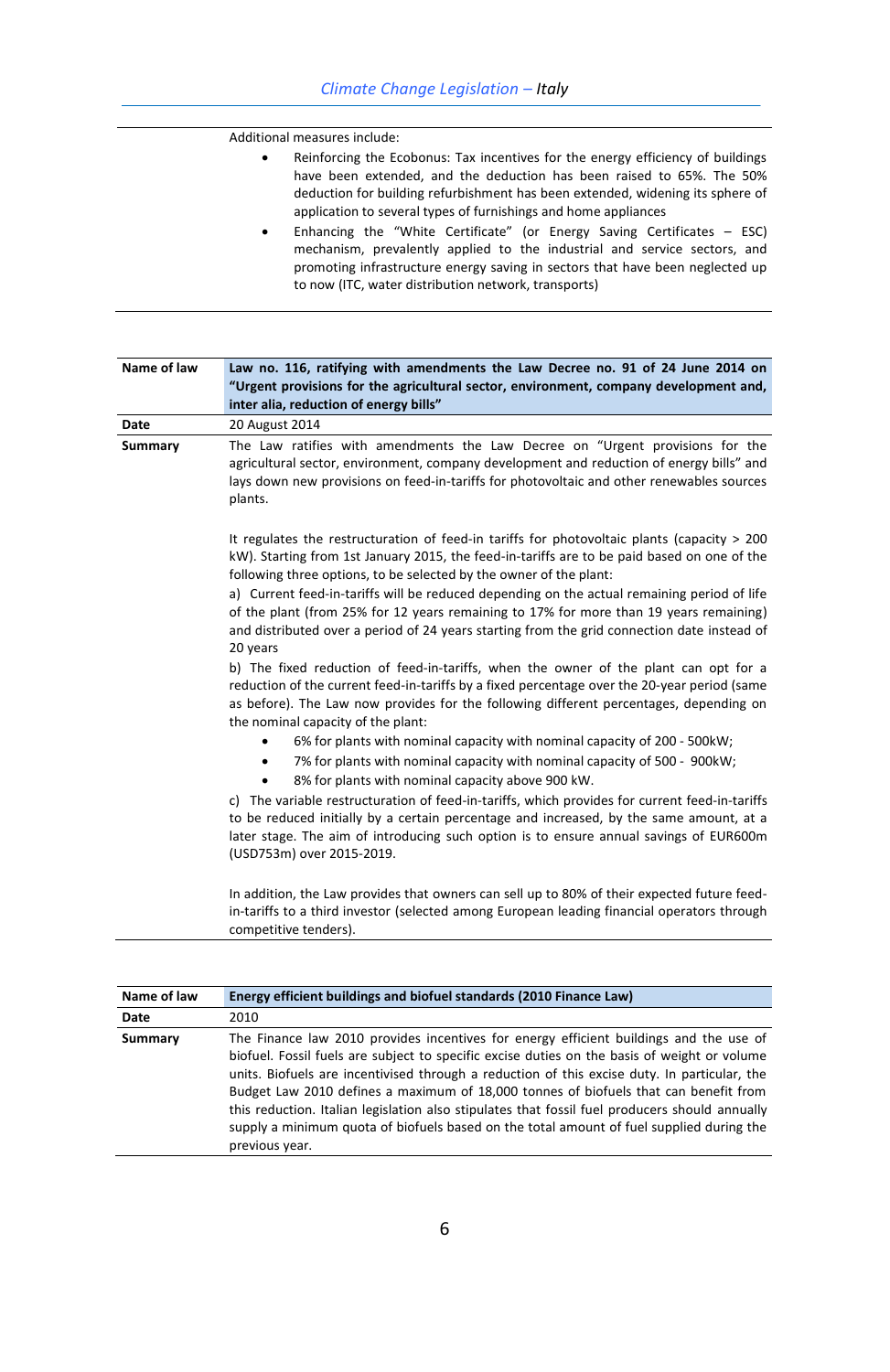Additional measures include:

- Reinforcing the Ecobonus: Tax incentives for the energy efficiency of buildings have been extended, and the deduction has been raised to 65%. The 50% deduction for building refurbishment has been extended, widening its sphere of application to several types of furnishings and home appliances
- Enhancing the "White Certificate" (or Energy Saving Certificates ESC) mechanism, prevalently applied to the industrial and service sectors, and promoting infrastructure energy saving in sectors that have been neglected up to now (ITC, water distribution network, transports)

| Name of law | Law no. 116, ratifying with amendments the Law Decree no. 91 of 24 June 2014 on<br>"Urgent provisions for the agricultural sector, environment, company development and,<br>inter alia, reduction of energy bills"                                                                                                   |
|-------------|----------------------------------------------------------------------------------------------------------------------------------------------------------------------------------------------------------------------------------------------------------------------------------------------------------------------|
| Date        | 20 August 2014                                                                                                                                                                                                                                                                                                       |
| Summary     | The Law ratifies with amendments the Law Decree on "Urgent provisions for the<br>agricultural sector, environment, company development and reduction of energy bills" and<br>lays down new provisions on feed-in-tariffs for photovoltaic and other renewables sources<br>plants.                                    |
|             | It regulates the restructuration of feed-in tariffs for photovoltaic plants (capacity > 200<br>kW). Starting from 1st January 2015, the feed-in-tariffs are to be paid based on one of the<br>following three options, to be selected by the owner of the plant:                                                     |
|             | a) Current feed-in-tariffs will be reduced depending on the actual remaining period of life<br>of the plant (from 25% for 12 years remaining to 17% for more than 19 years remaining)<br>and distributed over a period of 24 years starting from the grid connection date instead of<br>20 years                     |
|             | b) The fixed reduction of feed-in-tariffs, when the owner of the plant can opt for a<br>reduction of the current feed-in-tariffs by a fixed percentage over the 20-year period (same<br>as before). The Law now provides for the following different percentages, depending on<br>the nominal capacity of the plant: |
|             | 6% for plants with nominal capacity with nominal capacity of 200 - 500kW;<br>7% for plants with nominal capacity with nominal capacity of 500 - 900kW;<br>8% for plants with nominal capacity above 900 kW.                                                                                                          |
|             | c) The variable restructuration of feed-in-tariffs, which provides for current feed-in-tariffs<br>to be reduced initially by a certain percentage and increased, by the same amount, at a<br>later stage. The aim of introducing such option is to ensure annual savings of EUR600m<br>(USD753m) over 2015-2019.     |
|             | In addition, the Law provides that owners can sell up to 80% of their expected future feed-<br>in-tariffs to a third investor (selected among European leading financial operators through<br>competitive tenders).                                                                                                  |

| Name of law | Energy efficient buildings and biofuel standards (2010 Finance Law)                                                                                                                                                                                                                                                                                                                                                                                                                                                                                                                            |
|-------------|------------------------------------------------------------------------------------------------------------------------------------------------------------------------------------------------------------------------------------------------------------------------------------------------------------------------------------------------------------------------------------------------------------------------------------------------------------------------------------------------------------------------------------------------------------------------------------------------|
| Date        | 2010                                                                                                                                                                                                                                                                                                                                                                                                                                                                                                                                                                                           |
| Summary     | The Finance law 2010 provides incentives for energy efficient buildings and the use of<br>biofuel. Fossil fuels are subject to specific excise duties on the basis of weight or volume<br>units. Biofuels are incentivised through a reduction of this excise duty. In particular, the<br>Budget Law 2010 defines a maximum of 18,000 tonnes of biofuels that can benefit from<br>this reduction. Italian legislation also stipulates that fossil fuel producers should annually<br>supply a minimum quota of biofuels based on the total amount of fuel supplied during the<br>previous year. |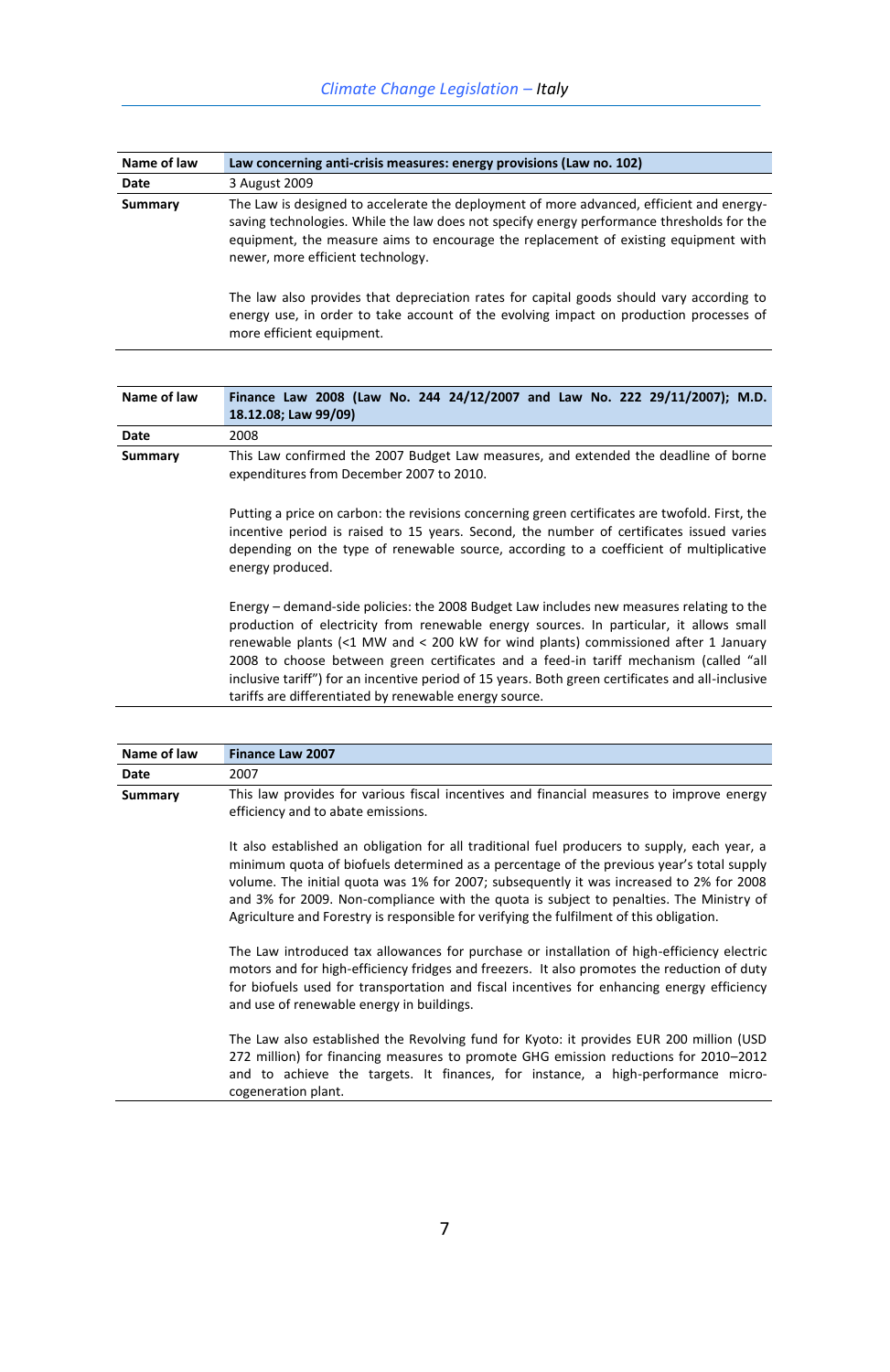| Name of law | Law concerning anti-crisis measures: energy provisions (Law no. 102)                                                                                                                                                                                                                                              |
|-------------|-------------------------------------------------------------------------------------------------------------------------------------------------------------------------------------------------------------------------------------------------------------------------------------------------------------------|
| Date        | 3 August 2009                                                                                                                                                                                                                                                                                                     |
| Summary     | The Law is designed to accelerate the deployment of more advanced, efficient and energy-<br>saving technologies. While the law does not specify energy performance thresholds for the<br>equipment, the measure aims to encourage the replacement of existing equipment with<br>newer, more efficient technology. |
|             | The law also provides that depreciation rates for capital goods should vary according to<br>energy use, in order to take account of the evolving impact on production processes of<br>more efficient equipment.                                                                                                   |

| Name of law | Finance Law 2008 (Law No. 244 24/12/2007 and Law No. 222 29/11/2007); M.D.<br>18.12.08; Law 99/09)                                                                                                                                                                                                                                                                                                                                                                                                                                |
|-------------|-----------------------------------------------------------------------------------------------------------------------------------------------------------------------------------------------------------------------------------------------------------------------------------------------------------------------------------------------------------------------------------------------------------------------------------------------------------------------------------------------------------------------------------|
| Date        | 2008                                                                                                                                                                                                                                                                                                                                                                                                                                                                                                                              |
| Summary     | This Law confirmed the 2007 Budget Law measures, and extended the deadline of borne<br>expenditures from December 2007 to 2010.                                                                                                                                                                                                                                                                                                                                                                                                   |
|             | Putting a price on carbon: the revisions concerning green certificates are twofold. First, the<br>incentive period is raised to 15 years. Second, the number of certificates issued varies<br>depending on the type of renewable source, according to a coefficient of multiplicative<br>energy produced.                                                                                                                                                                                                                         |
|             | Energy – demand-side policies: the 2008 Budget Law includes new measures relating to the<br>production of electricity from renewable energy sources. In particular, it allows small<br>renewable plants (<1 MW and < 200 kW for wind plants) commissioned after 1 January<br>2008 to choose between green certificates and a feed-in tariff mechanism (called "all<br>inclusive tariff") for an incentive period of 15 years. Both green certificates and all-inclusive<br>tariffs are differentiated by renewable energy source. |

| Name of law | <b>Finance Law 2007</b>                                                                                                                                                                                                                                                                                                                                                                                                                                                    |
|-------------|----------------------------------------------------------------------------------------------------------------------------------------------------------------------------------------------------------------------------------------------------------------------------------------------------------------------------------------------------------------------------------------------------------------------------------------------------------------------------|
| Date        | 2007                                                                                                                                                                                                                                                                                                                                                                                                                                                                       |
| Summary     | This law provides for various fiscal incentives and financial measures to improve energy<br>efficiency and to abate emissions.                                                                                                                                                                                                                                                                                                                                             |
|             | It also established an obligation for all traditional fuel producers to supply, each year, a<br>minimum quota of biofuels determined as a percentage of the previous year's total supply<br>volume. The initial quota was 1% for 2007; subsequently it was increased to 2% for 2008<br>and 3% for 2009. Non-compliance with the quota is subject to penalties. The Ministry of<br>Agriculture and Forestry is responsible for verifying the fulfilment of this obligation. |
|             | The Law introduced tax allowances for purchase or installation of high-efficiency electric<br>motors and for high-efficiency fridges and freezers. It also promotes the reduction of duty<br>for biofuels used for transportation and fiscal incentives for enhancing energy efficiency<br>and use of renewable energy in buildings.                                                                                                                                       |
|             | The Law also established the Revolving fund for Kyoto: it provides EUR 200 million (USD<br>272 million) for financing measures to promote GHG emission reductions for 2010–2012<br>and to achieve the targets. It finances, for instance, a high-performance micro-<br>cogeneration plant.                                                                                                                                                                                 |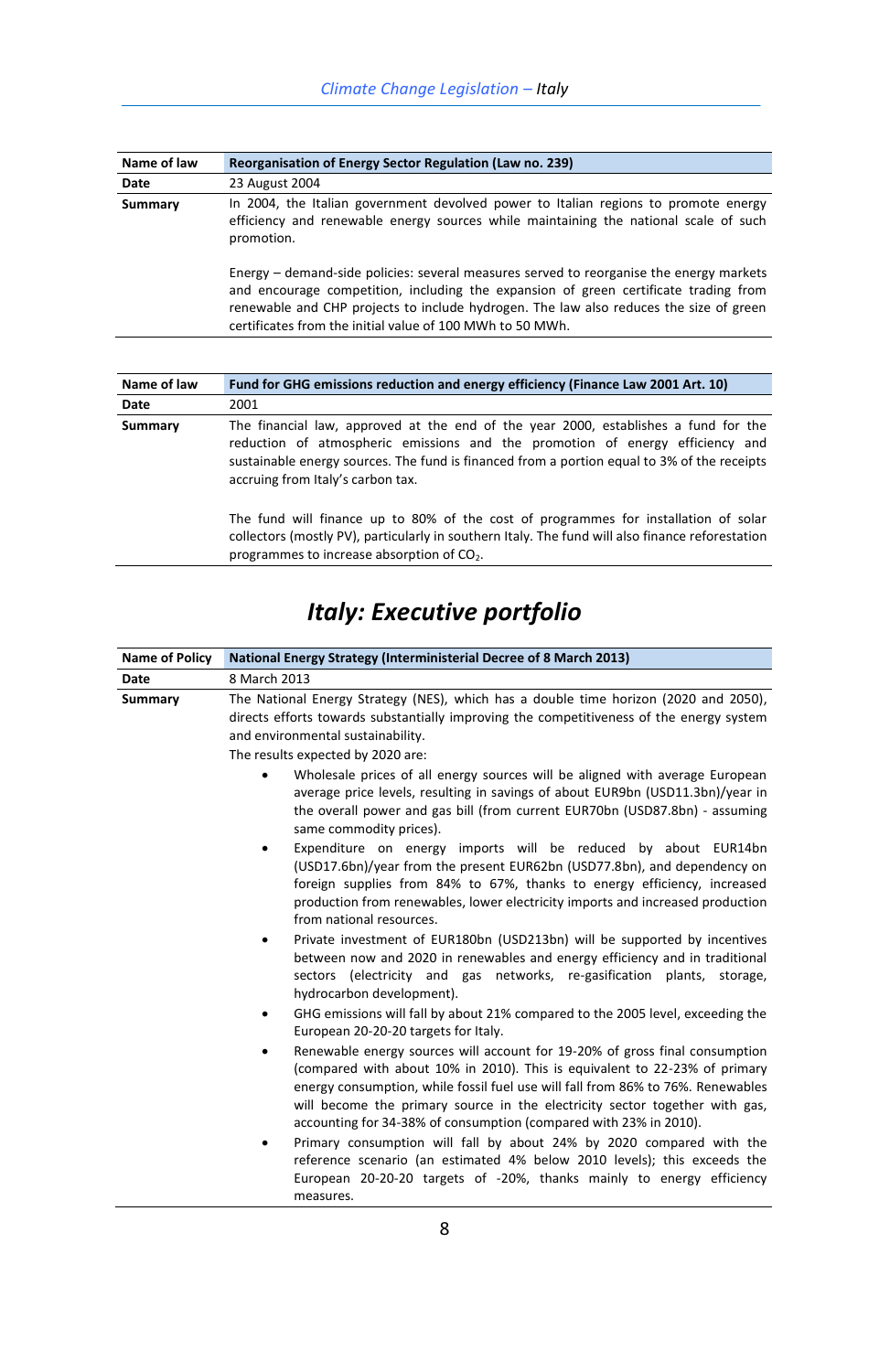| Name of law | Reorganisation of Energy Sector Regulation (Law no. 239)                                                                                                                                                                                                                                                                               |
|-------------|----------------------------------------------------------------------------------------------------------------------------------------------------------------------------------------------------------------------------------------------------------------------------------------------------------------------------------------|
| Date        | 23 August 2004                                                                                                                                                                                                                                                                                                                         |
| Summary     | In 2004, the Italian government devolved power to Italian regions to promote energy<br>efficiency and renewable energy sources while maintaining the national scale of such<br>promotion.                                                                                                                                              |
|             | Energy – demand-side policies: several measures served to reorganise the energy markets<br>and encourage competition, including the expansion of green certificate trading from<br>renewable and CHP projects to include hydrogen. The law also reduces the size of green<br>certificates from the initial value of 100 MWh to 50 MWh. |

| Name of law | Fund for GHG emissions reduction and energy efficiency (Finance Law 2001 Art. 10)                                                                                                                                                                                                                        |
|-------------|----------------------------------------------------------------------------------------------------------------------------------------------------------------------------------------------------------------------------------------------------------------------------------------------------------|
| Date        | 2001                                                                                                                                                                                                                                                                                                     |
| Summary     | The financial law, approved at the end of the year 2000, establishes a fund for the<br>reduction of atmospheric emissions and the promotion of energy efficiency and<br>sustainable energy sources. The fund is financed from a portion equal to 3% of the receipts<br>accruing from Italy's carbon tax. |
|             | The fund will finance up to 80% of the cost of programmes for installation of solar<br>collectors (mostly PV), particularly in southern Italy. The fund will also finance reforestation<br>programmes to increase absorption of $CO2$ .                                                                  |

## *Italy: Executive portfolio*

| <b>Name of Policy</b> | <b>National Energy Strategy (Interministerial Decree of 8 March 2013)</b>                                                                                                                                                                                                                                                                                                                        |
|-----------------------|--------------------------------------------------------------------------------------------------------------------------------------------------------------------------------------------------------------------------------------------------------------------------------------------------------------------------------------------------------------------------------------------------|
| Date                  | 8 March 2013                                                                                                                                                                                                                                                                                                                                                                                     |
| Summary               | The National Energy Strategy (NES), which has a double time horizon (2020 and 2050),<br>directs efforts towards substantially improving the competitiveness of the energy system<br>and environmental sustainability.<br>The results expected by 2020 are:                                                                                                                                       |
|                       | Wholesale prices of all energy sources will be aligned with average European<br>average price levels, resulting in savings of about EUR9bn (USD11.3bn)/year in<br>the overall power and gas bill (from current EUR70bn (USD87.8bn) - assuming<br>same commodity prices).                                                                                                                         |
|                       | Expenditure on energy imports will be reduced by about EUR14bn<br>(USD17.6bn)/year from the present EUR62bn (USD77.8bn), and dependency on<br>foreign supplies from 84% to 67%, thanks to energy efficiency, increased<br>production from renewables, lower electricity imports and increased production<br>from national resources.                                                             |
|                       | Private investment of EUR180bn (USD213bn) will be supported by incentives<br>between now and 2020 in renewables and energy efficiency and in traditional<br>sectors (electricity and gas networks, re-gasification plants, storage,<br>hydrocarbon development).                                                                                                                                 |
|                       | GHG emissions will fall by about 21% compared to the 2005 level, exceeding the<br>European 20-20-20 targets for Italy.                                                                                                                                                                                                                                                                           |
|                       | Renewable energy sources will account for 19-20% of gross final consumption<br>(compared with about 10% in 2010). This is equivalent to 22-23% of primary<br>energy consumption, while fossil fuel use will fall from 86% to 76%. Renewables<br>will become the primary source in the electricity sector together with gas,<br>accounting for 34-38% of consumption (compared with 23% in 2010). |
|                       | Primary consumption will fall by about 24% by 2020 compared with the<br>reference scenario (an estimated 4% below 2010 levels); this exceeds the<br>European 20-20-20 targets of -20%, thanks mainly to energy efficiency<br>measures.                                                                                                                                                           |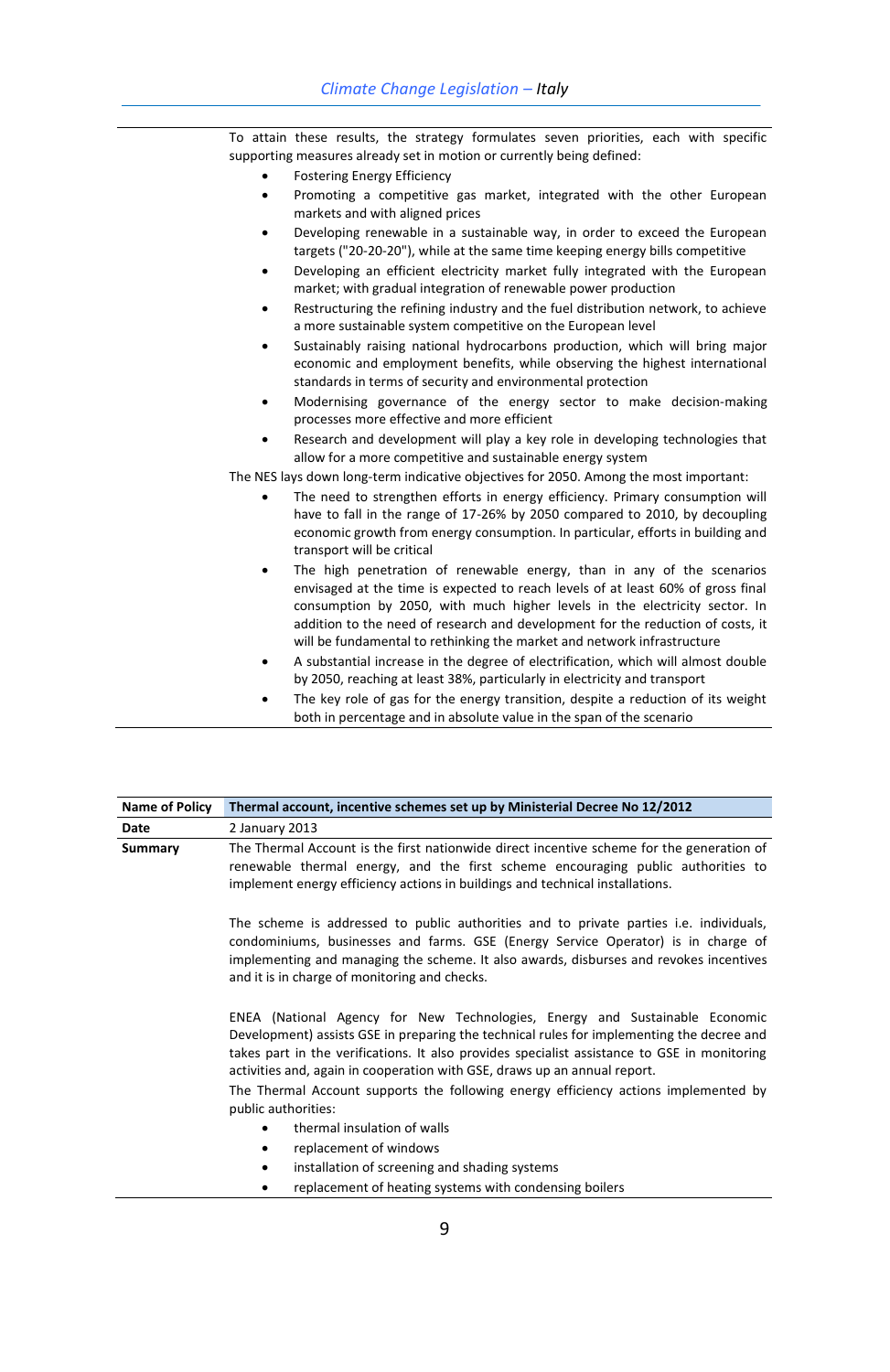To attain these results, the strategy formulates seven priorities, each with specific supporting measures already set in motion or currently being defined:

- Fostering Energy Efficiency
- Promoting a competitive gas market, integrated with the other European markets and with aligned prices
- Developing renewable in a sustainable way, in order to exceed the European targets ("20-20-20"), while at the same time keeping energy bills competitive
- Developing an efficient electricity market fully integrated with the European market; with gradual integration of renewable power production
- Restructuring the refining industry and the fuel distribution network, to achieve a more sustainable system competitive on the European level
- Sustainably raising national hydrocarbons production, which will bring major economic and employment benefits, while observing the highest international standards in terms of security and environmental protection
- Modernising governance of the energy sector to make decision-making processes more effective and more efficient
- Research and development will play a key role in developing technologies that allow for a more competitive and sustainable energy system

The NES lays down long-term indicative objectives for 2050. Among the most important:

- The need to strengthen efforts in energy efficiency. Primary consumption will have to fall in the range of 17-26% by 2050 compared to 2010, by decoupling economic growth from energy consumption. In particular, efforts in building and transport will be critical
- The high penetration of renewable energy, than in any of the scenarios envisaged at the time is expected to reach levels of at least 60% of gross final consumption by 2050, with much higher levels in the electricity sector. In addition to the need of research and development for the reduction of costs, it will be fundamental to rethinking the market and network infrastructure
- A substantial increase in the degree of electrification, which will almost double by 2050, reaching at least 38%, particularly in electricity and transport
- The key role of gas for the energy transition, despite a reduction of its weight both in percentage and in absolute value in the span of the scenario

| Name of Policy | Thermal account, incentive schemes set up by Ministerial Decree No 12/2012                                                                                                                                                                                                                                                                                                                                                                   |
|----------------|----------------------------------------------------------------------------------------------------------------------------------------------------------------------------------------------------------------------------------------------------------------------------------------------------------------------------------------------------------------------------------------------------------------------------------------------|
| Date           | 2 January 2013                                                                                                                                                                                                                                                                                                                                                                                                                               |
| Summary        | The Thermal Account is the first nationwide direct incentive scheme for the generation of<br>renewable thermal energy, and the first scheme encouraging public authorities to<br>implement energy efficiency actions in buildings and technical installations.                                                                                                                                                                               |
|                | The scheme is addressed to public authorities and to private parties i.e. individuals,<br>condominiums, businesses and farms. GSE (Energy Service Operator) is in charge of<br>implementing and managing the scheme. It also awards, disburses and revokes incentives<br>and it is in charge of monitoring and checks.                                                                                                                       |
|                | ENEA (National Agency for New Technologies, Energy and Sustainable Economic<br>Development) assists GSE in preparing the technical rules for implementing the decree and<br>takes part in the verifications. It also provides specialist assistance to GSE in monitoring<br>activities and, again in cooperation with GSE, draws up an annual report.<br>The Thermal Account supports the following energy efficiency actions implemented by |
|                | public authorities:                                                                                                                                                                                                                                                                                                                                                                                                                          |
|                | thermal insulation of walls                                                                                                                                                                                                                                                                                                                                                                                                                  |
|                | replacement of windows                                                                                                                                                                                                                                                                                                                                                                                                                       |
|                | installation of screening and shading systems<br>٠                                                                                                                                                                                                                                                                                                                                                                                           |
|                | replacement of heating systems with condensing boilers                                                                                                                                                                                                                                                                                                                                                                                       |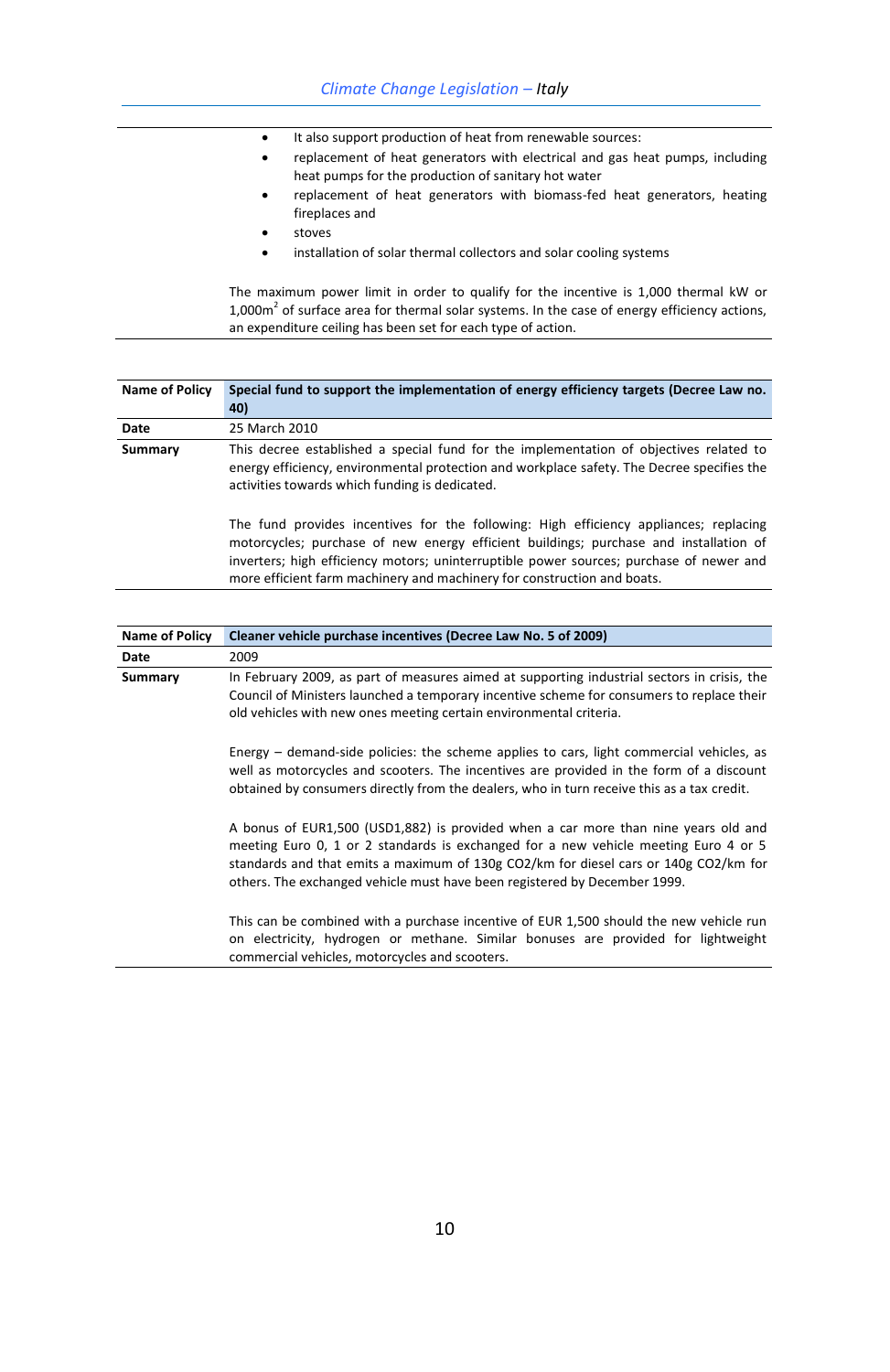- It also support production of heat from renewable sources:
- replacement of heat generators with electrical and gas heat pumps, including heat pumps for the production of sanitary hot water
- replacement of heat generators with biomass-fed heat generators, heating fireplaces and
- stoves
- installation of solar thermal collectors and solar cooling systems

The maximum power limit in order to qualify for the incentive is 1,000 thermal kW or  $1,000m<sup>2</sup>$  of surface area for thermal solar systems. In the case of energy efficiency actions, an expenditure ceiling has been set for each type of action.

| <b>Name of Policy</b> | Special fund to support the implementation of energy efficiency targets (Decree Law no.<br>40)                                                                                                                                                                                                                                                       |
|-----------------------|------------------------------------------------------------------------------------------------------------------------------------------------------------------------------------------------------------------------------------------------------------------------------------------------------------------------------------------------------|
| Date                  | 25 March 2010                                                                                                                                                                                                                                                                                                                                        |
| Summary               | This decree established a special fund for the implementation of objectives related to<br>energy efficiency, environmental protection and workplace safety. The Decree specifies the<br>activities towards which funding is dedicated.                                                                                                               |
|                       | The fund provides incentives for the following: High efficiency appliances; replacing<br>motorcycles; purchase of new energy efficient buildings; purchase and installation of<br>inverters; high efficiency motors; uninterruptible power sources; purchase of newer and<br>more efficient farm machinery and machinery for construction and boats. |

| <b>Name of Policy</b> | Cleaner vehicle purchase incentives (Decree Law No. 5 of 2009)                                                                                                                                                                                                                                                                                 |
|-----------------------|------------------------------------------------------------------------------------------------------------------------------------------------------------------------------------------------------------------------------------------------------------------------------------------------------------------------------------------------|
| Date                  | 2009                                                                                                                                                                                                                                                                                                                                           |
| Summary               | In February 2009, as part of measures aimed at supporting industrial sectors in crisis, the<br>Council of Ministers launched a temporary incentive scheme for consumers to replace their<br>old vehicles with new ones meeting certain environmental criteria.                                                                                 |
|                       | Energy – demand-side policies: the scheme applies to cars, light commercial vehicles, as<br>well as motorcycles and scooters. The incentives are provided in the form of a discount<br>obtained by consumers directly from the dealers, who in turn receive this as a tax credit.                                                              |
|                       | A bonus of EUR1,500 (USD1,882) is provided when a car more than nine years old and<br>meeting Euro 0, 1 or 2 standards is exchanged for a new vehicle meeting Euro 4 or 5<br>standards and that emits a maximum of 130g CO2/km for diesel cars or 140g CO2/km for<br>others. The exchanged vehicle must have been registered by December 1999. |
|                       | This can be combined with a purchase incentive of EUR 1,500 should the new vehicle run<br>on electricity, hydrogen or methane. Similar bonuses are provided for lightweight<br>commercial vehicles, motorcycles and scooters.                                                                                                                  |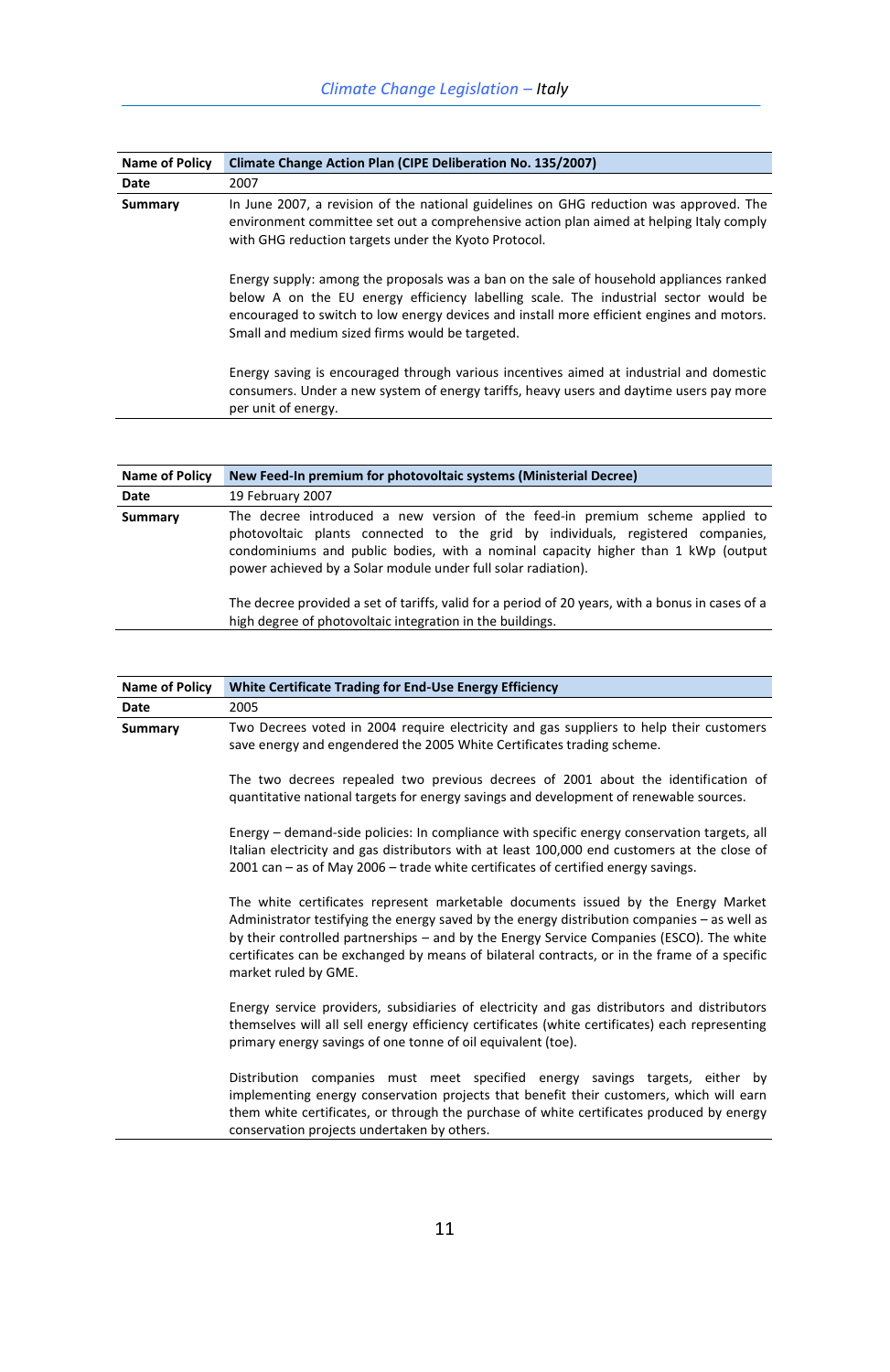| <b>Name of Policy</b> | Climate Change Action Plan (CIPE Deliberation No. 135/2007)                                                                                                                                                                                                                                                                    |
|-----------------------|--------------------------------------------------------------------------------------------------------------------------------------------------------------------------------------------------------------------------------------------------------------------------------------------------------------------------------|
| Date                  | 2007                                                                                                                                                                                                                                                                                                                           |
| Summary               | In June 2007, a revision of the national guidelines on GHG reduction was approved. The<br>environment committee set out a comprehensive action plan aimed at helping Italy comply<br>with GHG reduction targets under the Kyoto Protocol.                                                                                      |
|                       | Energy supply: among the proposals was a ban on the sale of household appliances ranked<br>below A on the EU energy efficiency labelling scale. The industrial sector would be<br>encouraged to switch to low energy devices and install more efficient engines and motors.<br>Small and medium sized firms would be targeted. |
|                       | Energy saving is encouraged through various incentives aimed at industrial and domestic<br>consumers. Under a new system of energy tariffs, heavy users and daytime users pay more<br>per unit of energy.                                                                                                                      |
|                       |                                                                                                                                                                                                                                                                                                                                |

| <b>Name of Policy</b> | New Feed-In premium for photovoltaic systems (Ministerial Decree)                                                                                                                                                                                                                                                     |
|-----------------------|-----------------------------------------------------------------------------------------------------------------------------------------------------------------------------------------------------------------------------------------------------------------------------------------------------------------------|
| Date                  | 19 February 2007                                                                                                                                                                                                                                                                                                      |
| Summary               | The decree introduced a new version of the feed-in premium scheme applied to<br>photovoltaic plants connected to the grid by individuals, registered companies,<br>condominiums and public bodies, with a nominal capacity higher than 1 kWp (output<br>power achieved by a Solar module under full solar radiation). |
|                       | The decree provided a set of tariffs, valid for a period of 20 years, with a bonus in cases of a<br>high degree of photovoltaic integration in the buildings.                                                                                                                                                         |

| <b>Name of Policy</b> | White Certificate Trading for End-Use Energy Efficiency                                                                                                                                                                                                                                                                                                                                              |
|-----------------------|------------------------------------------------------------------------------------------------------------------------------------------------------------------------------------------------------------------------------------------------------------------------------------------------------------------------------------------------------------------------------------------------------|
| Date                  | 2005                                                                                                                                                                                                                                                                                                                                                                                                 |
| Summary               | Two Decrees voted in 2004 require electricity and gas suppliers to help their customers<br>save energy and engendered the 2005 White Certificates trading scheme.                                                                                                                                                                                                                                    |
|                       | The two decrees repealed two previous decrees of 2001 about the identification of<br>quantitative national targets for energy savings and development of renewable sources.                                                                                                                                                                                                                          |
|                       | Energy – demand-side policies: In compliance with specific energy conservation targets, all<br>Italian electricity and gas distributors with at least 100,000 end customers at the close of<br>2001 can – as of May 2006 – trade white certificates of certified energy savings.                                                                                                                     |
|                       | The white certificates represent marketable documents issued by the Energy Market<br>Administrator testifying the energy saved by the energy distribution companies – as well as<br>by their controlled partnerships – and by the Energy Service Companies (ESCO). The white<br>certificates can be exchanged by means of bilateral contracts, or in the frame of a specific<br>market ruled by GME. |
|                       | Energy service providers, subsidiaries of electricity and gas distributors and distributors<br>themselves will all sell energy efficiency certificates (white certificates) each representing<br>primary energy savings of one tonne of oil equivalent (toe).                                                                                                                                        |
|                       | Distribution companies must meet specified energy savings targets, either by<br>implementing energy conservation projects that benefit their customers, which will earn<br>them white certificates, or through the purchase of white certificates produced by energy<br>conservation projects undertaken by others.                                                                                  |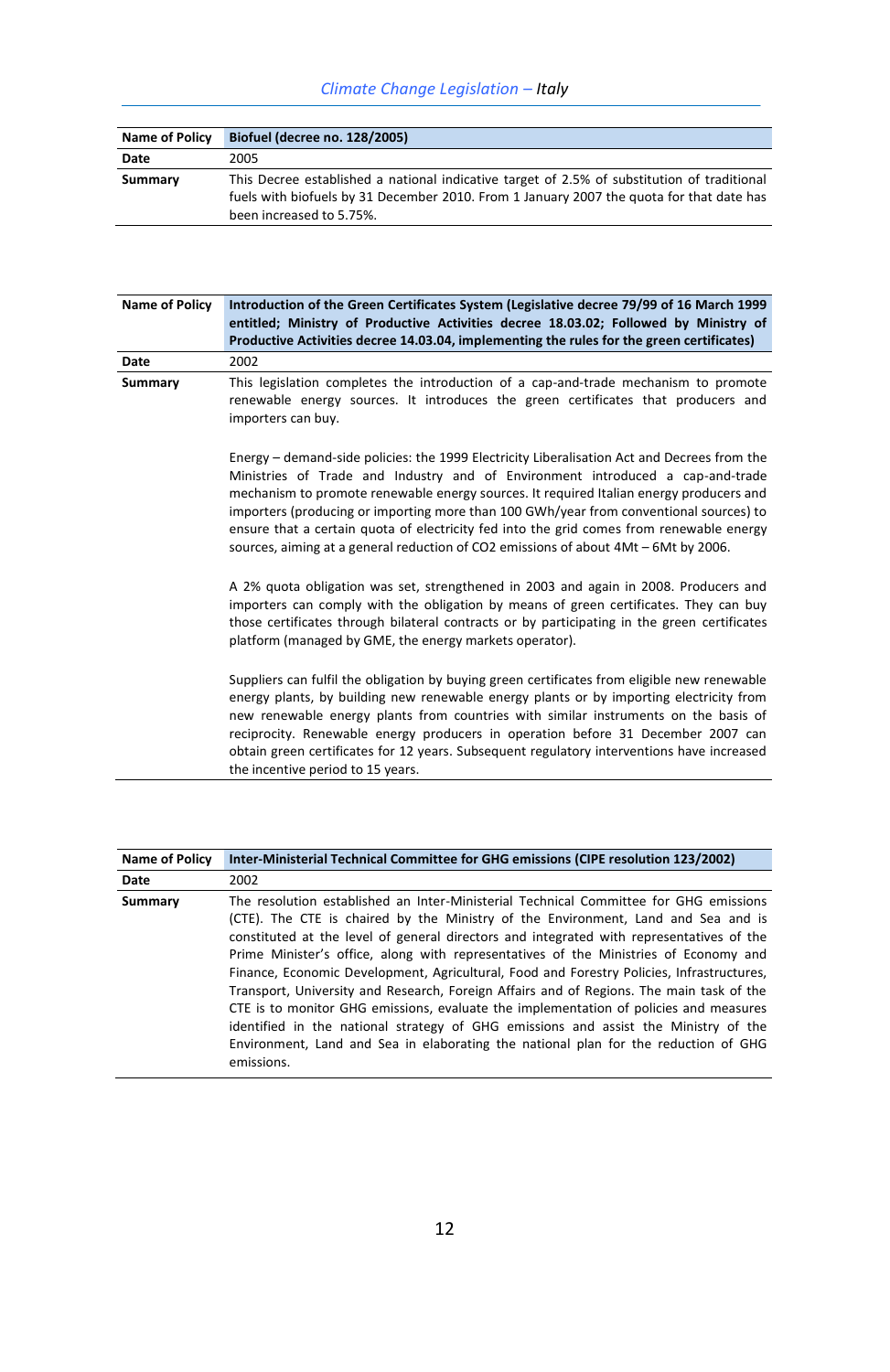| <b>Name of Policy</b> | Biofuel (decree no. 128/2005)                                                                                                                                                                                       |
|-----------------------|---------------------------------------------------------------------------------------------------------------------------------------------------------------------------------------------------------------------|
| Date                  | 2005                                                                                                                                                                                                                |
| Summary               | This Decree established a national indicative target of 2.5% of substitution of traditional<br>fuels with biofuels by 31 December 2010. From 1 January 2007 the quota for that date has<br>been increased to 5.75%. |

| <b>Name of Policy</b> | Introduction of the Green Certificates System (Legislative decree 79/99 of 16 March 1999<br>entitled; Ministry of Productive Activities decree 18.03.02; Followed by Ministry of<br>Productive Activities decree 14.03.04, implementing the rules for the green certificates)                                                                                                                                                                                                                                                                         |
|-----------------------|-------------------------------------------------------------------------------------------------------------------------------------------------------------------------------------------------------------------------------------------------------------------------------------------------------------------------------------------------------------------------------------------------------------------------------------------------------------------------------------------------------------------------------------------------------|
| Date                  | 2002                                                                                                                                                                                                                                                                                                                                                                                                                                                                                                                                                  |
| Summary               | This legislation completes the introduction of a cap-and-trade mechanism to promote<br>renewable energy sources. It introduces the green certificates that producers and<br>importers can buy.                                                                                                                                                                                                                                                                                                                                                        |
|                       | Energy – demand-side policies: the 1999 Electricity Liberalisation Act and Decrees from the<br>Ministries of Trade and Industry and of Environment introduced a cap-and-trade<br>mechanism to promote renewable energy sources. It required Italian energy producers and<br>importers (producing or importing more than 100 GWh/year from conventional sources) to<br>ensure that a certain quota of electricity fed into the grid comes from renewable energy<br>sources, aiming at a general reduction of CO2 emissions of about 4Mt – 6Mt by 2006. |
|                       | A 2% quota obligation was set, strengthened in 2003 and again in 2008. Producers and<br>importers can comply with the obligation by means of green certificates. They can buy<br>those certificates through bilateral contracts or by participating in the green certificates<br>platform (managed by GME, the energy markets operator).                                                                                                                                                                                                              |
|                       | Suppliers can fulfil the obligation by buying green certificates from eligible new renewable<br>energy plants, by building new renewable energy plants or by importing electricity from<br>new renewable energy plants from countries with similar instruments on the basis of<br>reciprocity. Renewable energy producers in operation before 31 December 2007 can<br>obtain green certificates for 12 years. Subsequent regulatory interventions have increased<br>the incentive period to 15 years.                                                 |

| <b>Name of Policy</b> | Inter-Ministerial Technical Committee for GHG emissions (CIPE resolution 123/2002)                                                                                                                                                                                                                                                                                                                                                                                                                                                                                                                                                                                                                                                                                                                                                           |
|-----------------------|----------------------------------------------------------------------------------------------------------------------------------------------------------------------------------------------------------------------------------------------------------------------------------------------------------------------------------------------------------------------------------------------------------------------------------------------------------------------------------------------------------------------------------------------------------------------------------------------------------------------------------------------------------------------------------------------------------------------------------------------------------------------------------------------------------------------------------------------|
| Date                  | 2002                                                                                                                                                                                                                                                                                                                                                                                                                                                                                                                                                                                                                                                                                                                                                                                                                                         |
| <b>Summary</b>        | The resolution established an Inter-Ministerial Technical Committee for GHG emissions<br>(CTE). The CTE is chaired by the Ministry of the Environment, Land and Sea and is<br>constituted at the level of general directors and integrated with representatives of the<br>Prime Minister's office, along with representatives of the Ministries of Economy and<br>Finance, Economic Development, Agricultural, Food and Forestry Policies, Infrastructures,<br>Transport, University and Research, Foreign Affairs and of Regions. The main task of the<br>CTE is to monitor GHG emissions, evaluate the implementation of policies and measures<br>identified in the national strategy of GHG emissions and assist the Ministry of the<br>Environment, Land and Sea in elaborating the national plan for the reduction of GHG<br>emissions. |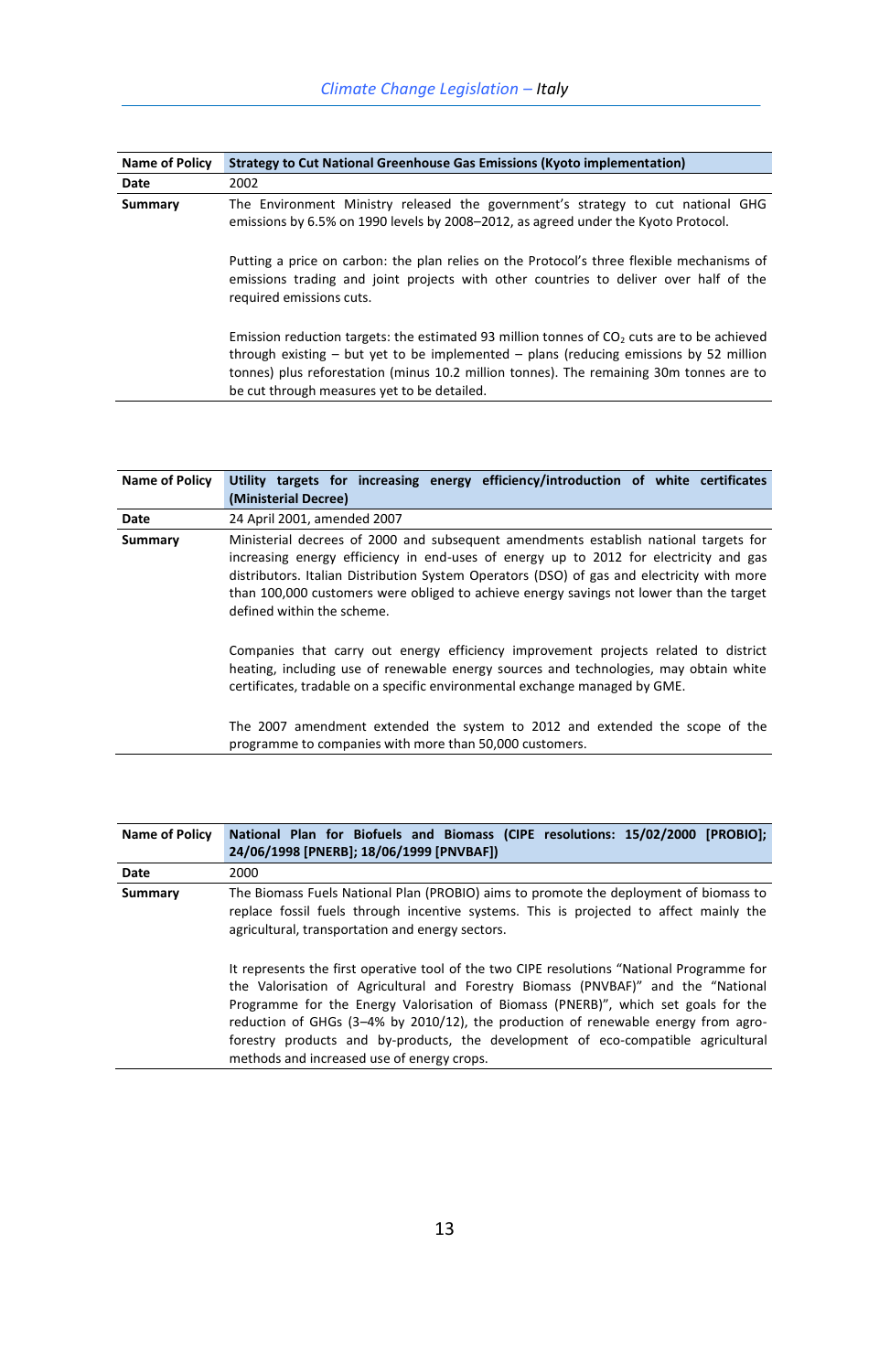| <b>Name of Policy</b> | <b>Strategy to Cut National Greenhouse Gas Emissions (Kyoto implementation)</b>                                                                                                                                                                                                                                                      |
|-----------------------|--------------------------------------------------------------------------------------------------------------------------------------------------------------------------------------------------------------------------------------------------------------------------------------------------------------------------------------|
| Date                  | 2002                                                                                                                                                                                                                                                                                                                                 |
| Summary               | The Environment Ministry released the government's strategy to cut national GHG<br>emissions by 6.5% on 1990 levels by 2008-2012, as agreed under the Kyoto Protocol.                                                                                                                                                                |
|                       | Putting a price on carbon: the plan relies on the Protocol's three flexible mechanisms of<br>emissions trading and joint projects with other countries to deliver over half of the<br>required emissions cuts.                                                                                                                       |
|                       | Emission reduction targets: the estimated 93 million tonnes of $CO2$ cuts are to be achieved<br>through existing $-$ but yet to be implemented $-$ plans (reducing emissions by 52 million<br>tonnes) plus reforestation (minus 10.2 million tonnes). The remaining 30m tonnes are to<br>be cut through measures yet to be detailed. |

| <b>Name of Policy</b> | Utility targets for increasing energy efficiency/introduction of white certificates<br>(Ministerial Decree)                                                                                                                                                                                                                                                                                          |
|-----------------------|------------------------------------------------------------------------------------------------------------------------------------------------------------------------------------------------------------------------------------------------------------------------------------------------------------------------------------------------------------------------------------------------------|
| Date                  | 24 April 2001, amended 2007                                                                                                                                                                                                                                                                                                                                                                          |
| Summary               | Ministerial decrees of 2000 and subsequent amendments establish national targets for<br>increasing energy efficiency in end-uses of energy up to 2012 for electricity and gas<br>distributors. Italian Distribution System Operators (DSO) of gas and electricity with more<br>than 100,000 customers were obliged to achieve energy savings not lower than the target<br>defined within the scheme. |
|                       | Companies that carry out energy efficiency improvement projects related to district<br>heating, including use of renewable energy sources and technologies, may obtain white<br>certificates, tradable on a specific environmental exchange managed by GME.<br>The 2007 amendment extended the system to 2012 and extended the scope of the                                                          |
|                       | programme to companies with more than 50,000 customers.                                                                                                                                                                                                                                                                                                                                              |

| <b>Name of Policy</b> | National Plan for Biofuels and Biomass (CIPE resolutions: 15/02/2000 [PROBIO];<br>24/06/1998 [PNERB]; 18/06/1999 [PNVBAF])                                                                                                                                                                                                                                                                                                                                                                     |
|-----------------------|------------------------------------------------------------------------------------------------------------------------------------------------------------------------------------------------------------------------------------------------------------------------------------------------------------------------------------------------------------------------------------------------------------------------------------------------------------------------------------------------|
| Date                  | 2000                                                                                                                                                                                                                                                                                                                                                                                                                                                                                           |
| Summary               | The Biomass Fuels National Plan (PROBIO) aims to promote the deployment of biomass to<br>replace fossil fuels through incentive systems. This is projected to affect mainly the<br>agricultural, transportation and energy sectors.                                                                                                                                                                                                                                                            |
|                       | It represents the first operative tool of the two CIPE resolutions "National Programme for<br>the Valorisation of Agricultural and Forestry Biomass (PNVBAF)" and the "National<br>Programme for the Energy Valorisation of Biomass (PNERB)", which set goals for the<br>reduction of GHGs (3–4% by 2010/12), the production of renewable energy from agro-<br>forestry products and by-products, the development of eco-compatible agricultural<br>methods and increased use of energy crops. |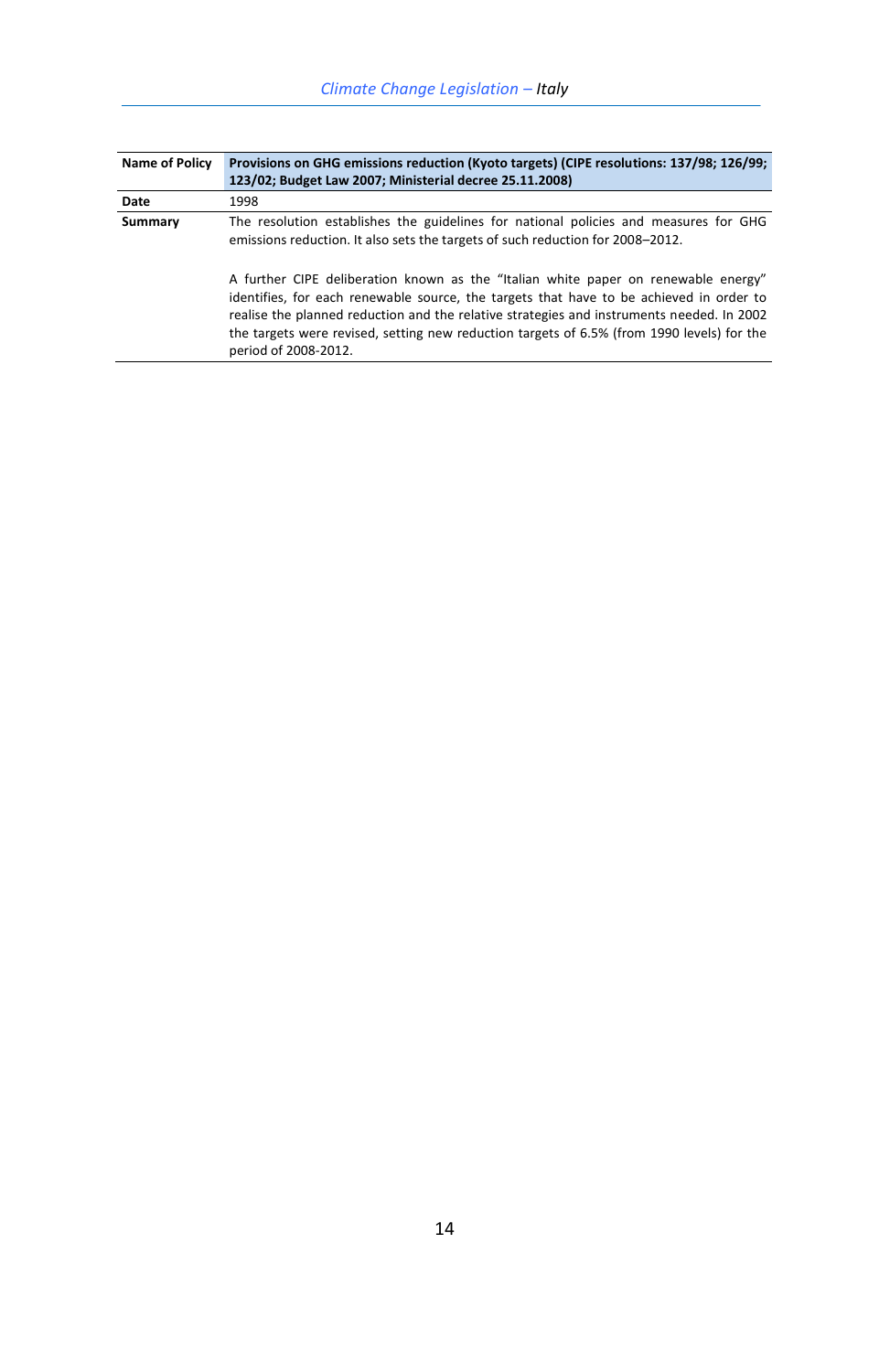| <b>Name of Policy</b> | Provisions on GHG emissions reduction (Kyoto targets) (CIPE resolutions: 137/98; 126/99;<br>123/02; Budget Law 2007; Ministerial decree 25.11.2008)                                                                                                                                                                                                                                              |
|-----------------------|--------------------------------------------------------------------------------------------------------------------------------------------------------------------------------------------------------------------------------------------------------------------------------------------------------------------------------------------------------------------------------------------------|
| Date                  | 1998                                                                                                                                                                                                                                                                                                                                                                                             |
| Summary               | The resolution establishes the guidelines for national policies and measures for GHG<br>emissions reduction. It also sets the targets of such reduction for 2008–2012.                                                                                                                                                                                                                           |
|                       | A further CIPE deliberation known as the "Italian white paper on renewable energy"<br>identifies, for each renewable source, the targets that have to be achieved in order to<br>realise the planned reduction and the relative strategies and instruments needed. In 2002<br>the targets were revised, setting new reduction targets of 6.5% (from 1990 levels) for the<br>period of 2008-2012. |